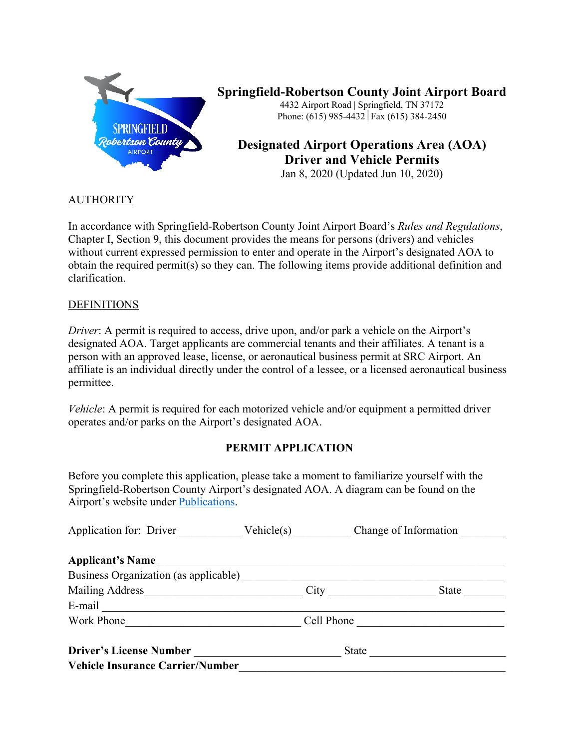

### **Springfield-Robertson County Joint Airport Board** 4432 Airport Road | Springfield, TN 37172

Phone: (615) 985-4432 Fax (615) 384-2450

# **Designated Airport Operations Area (AOA) Driver and Vehicle Permits**

Jan 8, 2020 (Updated Jun 10, 2020)

### **AUTHORITY**

In accordance with Springfield-Robertson County Joint Airport Board's *Rules and Regulations*, Chapter I, Section 9, this document provides the means for persons (drivers) and vehicles without current expressed permission to enter and operate in the Airport's designated AOA to obtain the required permit(s) so they can. The following items provide additional definition and clarification.

### **DEFINITIONS**

*Driver*: A permit is required to access, drive upon, and/or park a vehicle on the Airport's designated AOA. Target applicants are commercial tenants and their affiliates. A tenant is a person with an approved lease, license, or aeronautical business permit at SRC Airport. An affiliate is an individual directly under the control of a lessee, or a licensed aeronautical business permittee.

*Vehicle*: A permit is required for each motorized vehicle and/or equipment a permitted driver operates and/or parks on the Airport's designated AOA.

## **PERMIT APPLICATION**

Before you complete this application, please take a moment to familiarize yourself with the Springfield-Robertson County Airport's designated AOA. A diagram can be found on the Airport's website under Publications.

| Application for: Driver                                                                                                                                                                                                        | Vehicle(s) Change of Information |
|--------------------------------------------------------------------------------------------------------------------------------------------------------------------------------------------------------------------------------|----------------------------------|
| <b>Applicant's Name</b>                                                                                                                                                                                                        |                                  |
|                                                                                                                                                                                                                                |                                  |
| Mailing Address                                                                                                                                                                                                                | City<br>State                    |
| E-mail expression of the contract of the contract of the contract of the contract of the contract of the contract of the contract of the contract of the contract of the contract of the contract of the contract of the contr |                                  |
| Work Phone                                                                                                                                                                                                                     | Cell Phone                       |
| <b>Driver's License Number</b>                                                                                                                                                                                                 | State                            |
| <b>Vehicle Insurance Carrier/Number</b>                                                                                                                                                                                        |                                  |